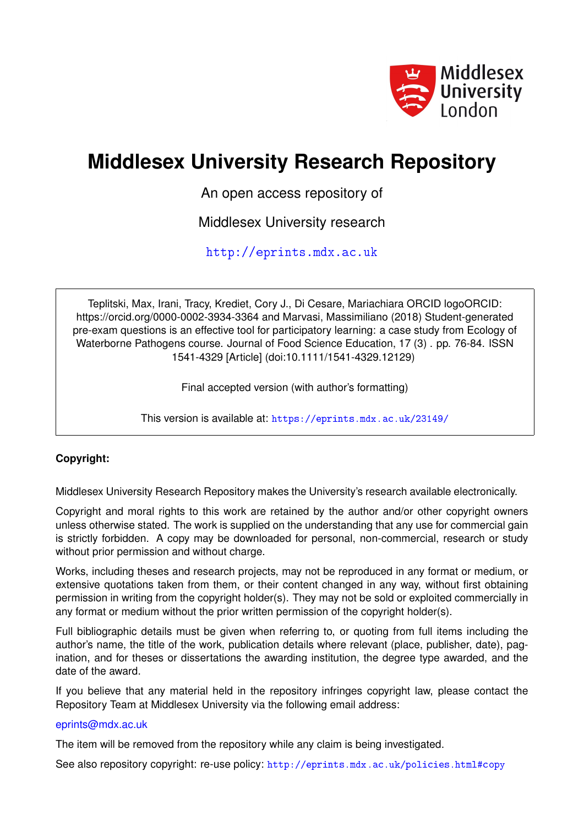

# **Middlesex University Research Repository**

An open access repository of

Middlesex University research

<http://eprints.mdx.ac.uk>

Teplitski, Max, Irani, Tracy, Krediet, Cory J., Di Cesare, Mariachiara ORCID logoORCID: https://orcid.org/0000-0002-3934-3364 and Marvasi, Massimiliano (2018) Student-generated pre-exam questions is an effective tool for participatory learning: a case study from Ecology of Waterborne Pathogens course. Journal of Food Science Education, 17 (3) . pp. 76-84. ISSN 1541-4329 [Article] (doi:10.1111/1541-4329.12129)

Final accepted version (with author's formatting)

This version is available at: <https://eprints.mdx.ac.uk/23149/>

### **Copyright:**

Middlesex University Research Repository makes the University's research available electronically.

Copyright and moral rights to this work are retained by the author and/or other copyright owners unless otherwise stated. The work is supplied on the understanding that any use for commercial gain is strictly forbidden. A copy may be downloaded for personal, non-commercial, research or study without prior permission and without charge.

Works, including theses and research projects, may not be reproduced in any format or medium, or extensive quotations taken from them, or their content changed in any way, without first obtaining permission in writing from the copyright holder(s). They may not be sold or exploited commercially in any format or medium without the prior written permission of the copyright holder(s).

Full bibliographic details must be given when referring to, or quoting from full items including the author's name, the title of the work, publication details where relevant (place, publisher, date), pagination, and for theses or dissertations the awarding institution, the degree type awarded, and the date of the award.

If you believe that any material held in the repository infringes copyright law, please contact the Repository Team at Middlesex University via the following email address:

### [eprints@mdx.ac.uk](mailto:eprints@mdx.ac.uk)

The item will be removed from the repository while any claim is being investigated.

See also repository copyright: re-use policy: <http://eprints.mdx.ac.uk/policies.html#copy>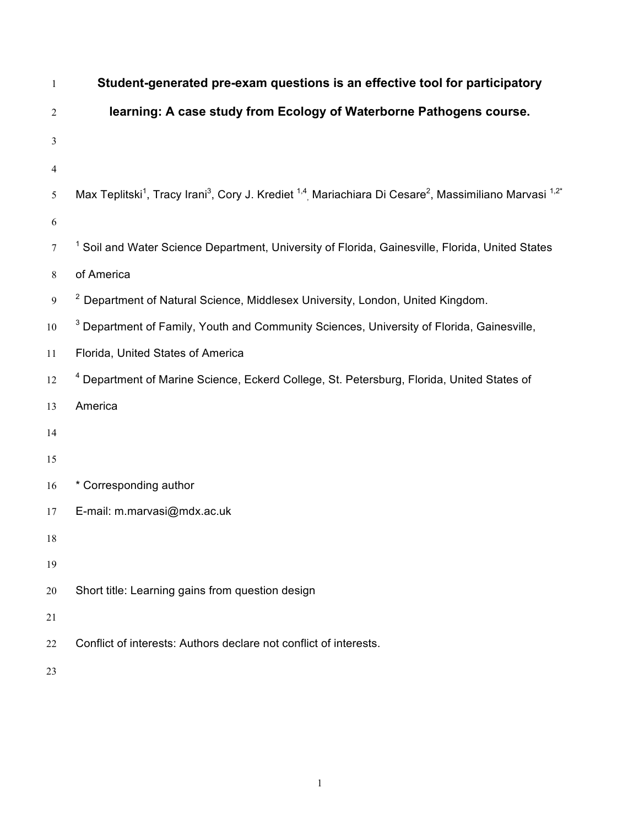| $\mathbf{1}$   | Student-generated pre-exam questions is an effective tool for participatory                                                                                      |
|----------------|------------------------------------------------------------------------------------------------------------------------------------------------------------------|
| 2              | learning: A case study from Ecology of Waterborne Pathogens course.                                                                                              |
| 3              |                                                                                                                                                                  |
| $\overline{4}$ |                                                                                                                                                                  |
| 5              | Max Teplitski <sup>1</sup> , Tracy Irani <sup>3</sup> , Cory J. Krediet <sup>1,4</sup> Mariachiara Di Cesare <sup>2</sup> , Massimiliano Marvasi <sup>1,2*</sup> |
| 6              |                                                                                                                                                                  |
| $\tau$         | <sup>1</sup> Soil and Water Science Department, University of Florida, Gainesville, Florida, United States                                                       |
| 8              | of America                                                                                                                                                       |
| 9              | <sup>2</sup> Department of Natural Science, Middlesex University, London, United Kingdom.                                                                        |
| 10             | <sup>3</sup> Department of Family, Youth and Community Sciences, University of Florida, Gainesville,                                                             |
| 11             | Florida, United States of America                                                                                                                                |
| 12             | <sup>4</sup> Department of Marine Science, Eckerd College, St. Petersburg, Florida, United States of                                                             |
| 13             | America                                                                                                                                                          |
| 14             |                                                                                                                                                                  |
| 15             |                                                                                                                                                                  |
| 16             | * Corresponding author                                                                                                                                           |
| 17             | E-mail: m.marvasi@mdx.ac.uk                                                                                                                                      |
| 18             |                                                                                                                                                                  |
| 19             |                                                                                                                                                                  |
| 20             | Short title: Learning gains from question design                                                                                                                 |
| 21             |                                                                                                                                                                  |
| 22             | Conflict of interests: Authors declare not conflict of interests.                                                                                                |
| 23             |                                                                                                                                                                  |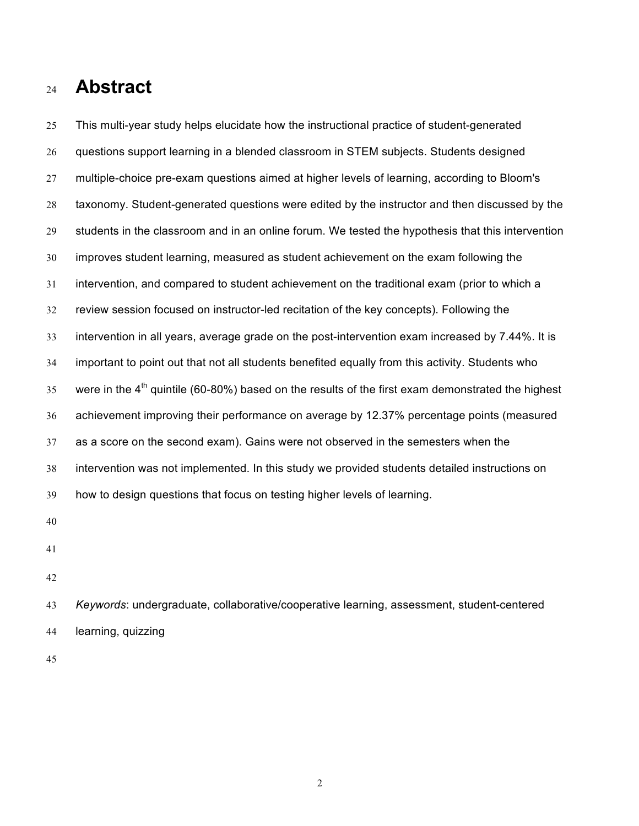### **Abstract**

 This multi-year study helps elucidate how the instructional practice of student-generated questions support learning in a blended classroom in STEM subjects. Students designed multiple-choice pre-exam questions aimed at higher levels of learning, according to Bloom's taxonomy. Student-generated questions were edited by the instructor and then discussed by the students in the classroom and in an online forum. We tested the hypothesis that this intervention improves student learning, measured as student achievement on the exam following the intervention, and compared to student achievement on the traditional exam (prior to which a review session focused on instructor-led recitation of the key concepts). Following the intervention in all years, average grade on the post-intervention exam increased by 7.44%. It is important to point out that not all students benefited equally from this activity. Students who 35 were in the  $4<sup>th</sup>$  quintile (60-80%) based on the results of the first exam demonstrated the highest achievement improving their performance on average by 12.37% percentage points (measured as a score on the second exam). Gains were not observed in the semesters when the intervention was not implemented. In this study we provided students detailed instructions on how to design questions that focus on testing higher levels of learning.

- 
- 

 *Keywords*: undergraduate, collaborative/cooperative learning, assessment, student-centered learning, quizzing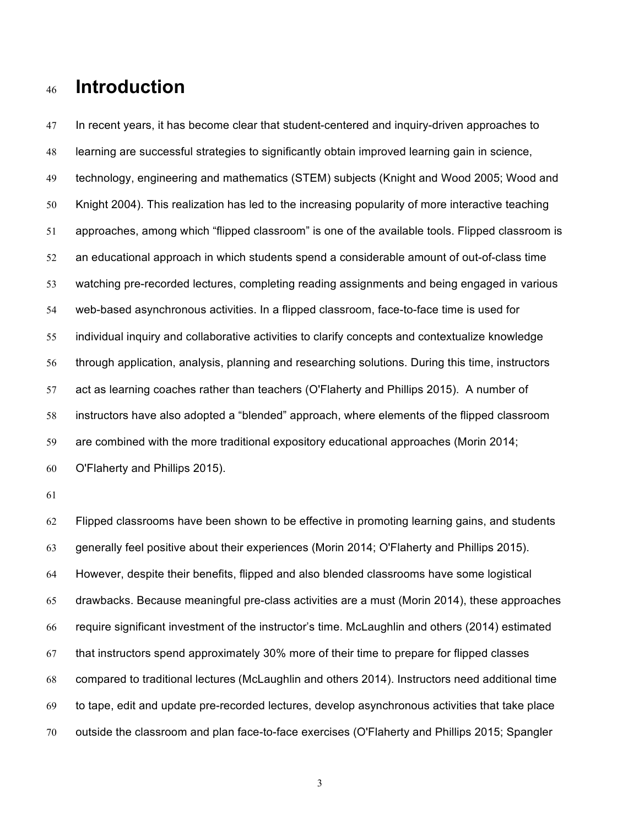# **Introduction**

 In recent years, it has become clear that student-centered and inquiry-driven approaches to learning are successful strategies to significantly obtain improved learning gain in science, technology, engineering and mathematics (STEM) subjects (Knight and Wood 2005; Wood and Knight 2004). This realization has led to the increasing popularity of more interactive teaching approaches, among which "flipped classroom" is one of the available tools. Flipped classroom is an educational approach in which students spend a considerable amount of out-of-class time watching pre-recorded lectures, completing reading assignments and being engaged in various web-based asynchronous activities. In a flipped classroom, face-to-face time is used for individual inquiry and collaborative activities to clarify concepts and contextualize knowledge through application, analysis, planning and researching solutions. During this time, instructors act as learning coaches rather than teachers (O'Flaherty and Phillips 2015). A number of instructors have also adopted a "blended" approach, where elements of the flipped classroom are combined with the more traditional expository educational approaches (Morin 2014; O'Flaherty and Phillips 2015).

 Flipped classrooms have been shown to be effective in promoting learning gains, and students generally feel positive about their experiences (Morin 2014; O'Flaherty and Phillips 2015). However, despite their benefits, flipped and also blended classrooms have some logistical drawbacks. Because meaningful pre-class activities are a must (Morin 2014), these approaches require significant investment of the instructor's time. McLaughlin and others (2014) estimated that instructors spend approximately 30% more of their time to prepare for flipped classes compared to traditional lectures (McLaughlin and others 2014). Instructors need additional time to tape, edit and update pre-recorded lectures, develop asynchronous activities that take place outside the classroom and plan face-to-face exercises (O'Flaherty and Phillips 2015; Spangler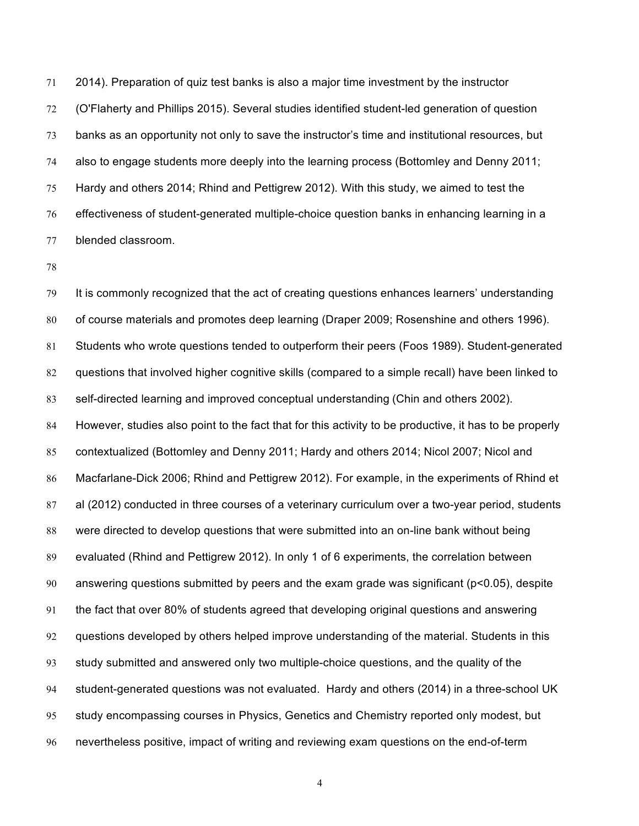2014). Preparation of quiz test banks is also a major time investment by the instructor (O'Flaherty and Phillips 2015). Several studies identified student-led generation of question banks as an opportunity not only to save the instructor's time and institutional resources, but also to engage students more deeply into the learning process (Bottomley and Denny 2011; Hardy and others 2014; Rhind and Pettigrew 2012). With this study, we aimed to test the effectiveness of student-generated multiple-choice question banks in enhancing learning in a blended classroom.

 It is commonly recognized that the act of creating questions enhances learners' understanding of course materials and promotes deep learning (Draper 2009; Rosenshine and others 1996). Students who wrote questions tended to outperform their peers (Foos 1989). Student-generated questions that involved higher cognitive skills (compared to a simple recall) have been linked to self-directed learning and improved conceptual understanding (Chin and others 2002). 84 However, studies also point to the fact that for this activity to be productive, it has to be properly contextualized (Bottomley and Denny 2011; Hardy and others 2014; Nicol 2007; Nicol and Macfarlane-Dick 2006; Rhind and Pettigrew 2012). For example, in the experiments of Rhind et al (2012) conducted in three courses of a veterinary curriculum over a two-year period, students were directed to develop questions that were submitted into an on-line bank without being evaluated (Rhind and Pettigrew 2012). In only 1 of 6 experiments, the correlation between 90 answering questions submitted by peers and the exam grade was significant ( $p$ <0.05), despite the fact that over 80% of students agreed that developing original questions and answering questions developed by others helped improve understanding of the material. Students in this study submitted and answered only two multiple-choice questions, and the quality of the student-generated questions was not evaluated. Hardy and others (2014) in a three-school UK study encompassing courses in Physics, Genetics and Chemistry reported only modest, but nevertheless positive, impact of writing and reviewing exam questions on the end-of-term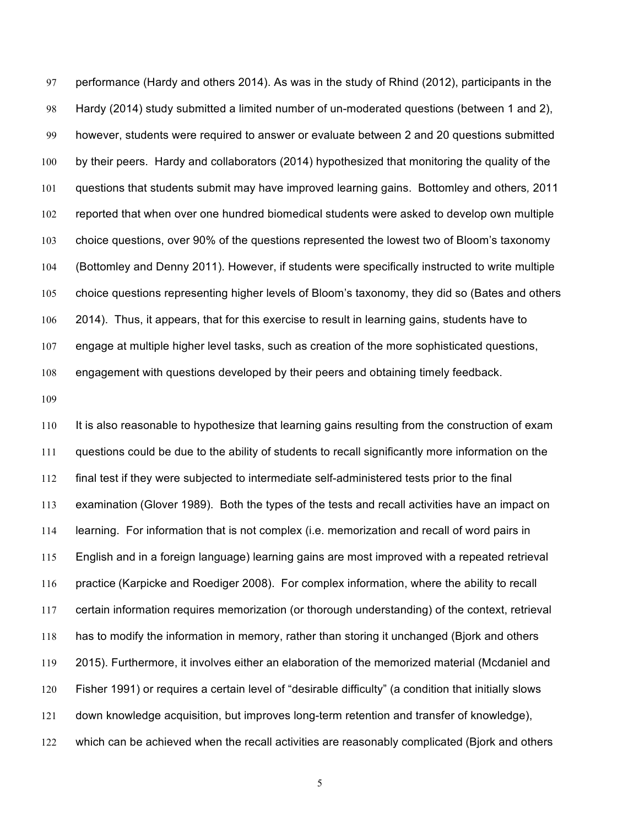performance (Hardy and others 2014). As was in the study of Rhind (2012), participants in the Hardy (2014) study submitted a limited number of un-moderated questions (between 1 and 2), however, students were required to answer or evaluate between 2 and 20 questions submitted by their peers. Hardy and collaborators (2014) hypothesized that monitoring the quality of the questions that students submit may have improved learning gains. Bottomley and others*,* 2011 reported that when over one hundred biomedical students were asked to develop own multiple choice questions, over 90% of the questions represented the lowest two of Bloom's taxonomy (Bottomley and Denny 2011). However, if students were specifically instructed to write multiple choice questions representing higher levels of Bloom's taxonomy, they did so (Bates and others 2014). Thus, it appears, that for this exercise to result in learning gains, students have to engage at multiple higher level tasks, such as creation of the more sophisticated questions, engagement with questions developed by their peers and obtaining timely feedback.

 It is also reasonable to hypothesize that learning gains resulting from the construction of exam questions could be due to the ability of students to recall significantly more information on the final test if they were subjected to intermediate self-administered tests prior to the final examination (Glover 1989). Both the types of the tests and recall activities have an impact on learning. For information that is not complex (i.e. memorization and recall of word pairs in English and in a foreign language) learning gains are most improved with a repeated retrieval practice (Karpicke and Roediger 2008). For complex information, where the ability to recall certain information requires memorization (or thorough understanding) of the context, retrieval has to modify the information in memory, rather than storing it unchanged (Bjork and others 2015). Furthermore, it involves either an elaboration of the memorized material (Mcdaniel and Fisher 1991) or requires a certain level of "desirable difficulty" (a condition that initially slows down knowledge acquisition, but improves long-term retention and transfer of knowledge), which can be achieved when the recall activities are reasonably complicated (Bjork and others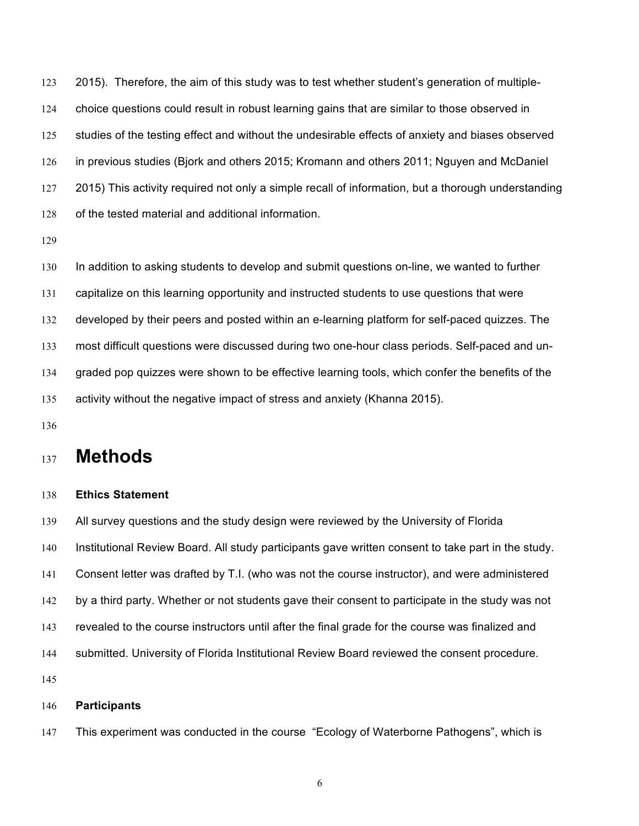2015). Therefore, the aim of this study was to test whether student's generation of multiple- choice questions could result in robust learning gains that are similar to those observed in studies of the testing effect and without the undesirable effects of anxiety and biases observed in previous studies (Bjork and others 2015; Kromann and others 2011; Nguyen and McDaniel 2015) This activity required not only a simple recall of information, but a thorough understanding of the tested material and additional information.

 In addition to asking students to develop and submit questions on-line, we wanted to further capitalize on this learning opportunity and instructed students to use questions that were developed by their peers and posted within an e-learning platform for self-paced quizzes. The most difficult questions were discussed during two one-hour class periods. Self-paced and un- graded pop quizzes were shown to be effective learning tools, which confer the benefits of the activity without the negative impact of stress and anxiety (Khanna 2015).

# **Methods**

#### **Ethics Statement**

 All survey questions and the study design were reviewed by the University of Florida Institutional Review Board. All study participants gave written consent to take part in the study. Consent letter was drafted by T.I. (who was not the course instructor), and were administered by a third party. Whether or not students gave their consent to participate in the study was not revealed to the course instructors until after the final grade for the course was finalized and submitted. University of Florida Institutional Review Board reviewed the consent procedure. 

#### **Participants**

This experiment was conducted in the course "Ecology of Waterborne Pathogens", which is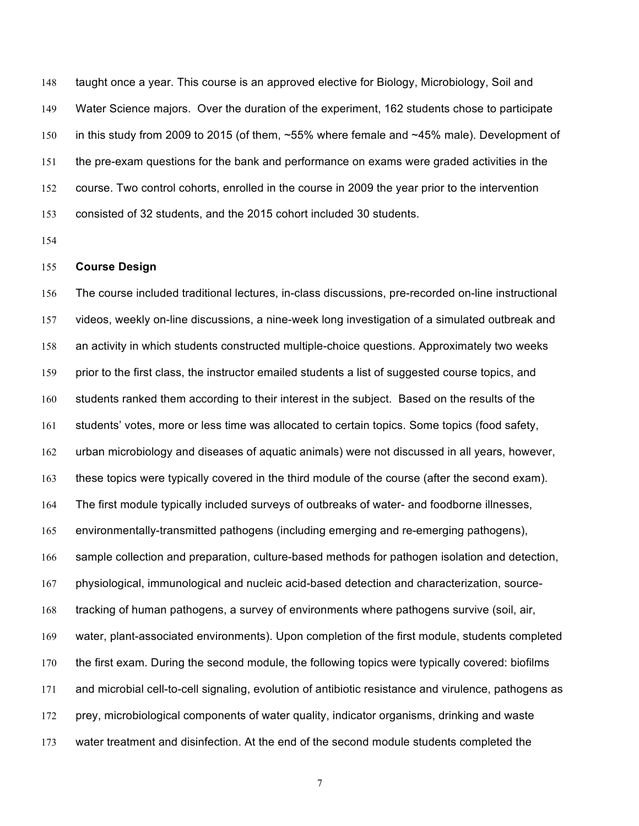taught once a year. This course is an approved elective for Biology, Microbiology, Soil and Water Science majors. Over the duration of the experiment, 162 students chose to participate 150 in this study from 2009 to 2015 (of them, ~55% where female and ~45% male). Development of the pre-exam questions for the bank and performance on exams were graded activities in the course. Two control cohorts, enrolled in the course in 2009 the year prior to the intervention consisted of 32 students, and the 2015 cohort included 30 students.

#### **Course Design**

 The course included traditional lectures, in-class discussions, pre-recorded on-line instructional videos, weekly on-line discussions, a nine-week long investigation of a simulated outbreak and an activity in which students constructed multiple-choice questions. Approximately two weeks 159 prior to the first class, the instructor emailed students a list of suggested course topics, and students ranked them according to their interest in the subject. Based on the results of the 161 students' votes, more or less time was allocated to certain topics. Some topics (food safety, urban microbiology and diseases of aquatic animals) were not discussed in all years, however, these topics were typically covered in the third module of the course (after the second exam). The first module typically included surveys of outbreaks of water- and foodborne illnesses, environmentally-transmitted pathogens (including emerging and re-emerging pathogens), sample collection and preparation, culture-based methods for pathogen isolation and detection, physiological, immunological and nucleic acid-based detection and characterization, source- tracking of human pathogens, a survey of environments where pathogens survive (soil, air, water, plant-associated environments). Upon completion of the first module, students completed the first exam. During the second module, the following topics were typically covered: biofilms and microbial cell-to-cell signaling, evolution of antibiotic resistance and virulence, pathogens as prey, microbiological components of water quality, indicator organisms, drinking and waste 173 water treatment and disinfection. At the end of the second module students completed the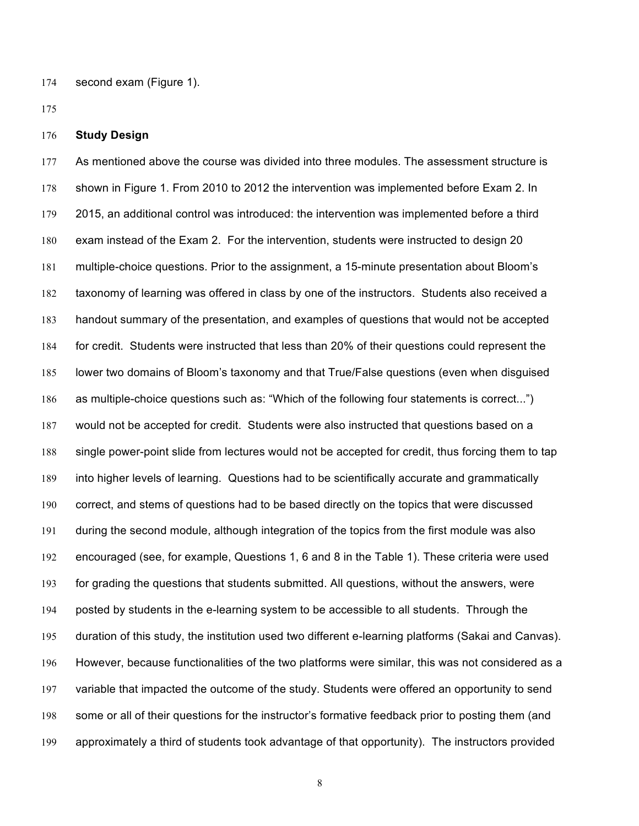second exam (Figure 1).

#### **Study Design**

177 As mentioned above the course was divided into three modules. The assessment structure is shown in Figure 1. From 2010 to 2012 the intervention was implemented before Exam 2. In 2015, an additional control was introduced: the intervention was implemented before a third exam instead of the Exam 2. For the intervention, students were instructed to design 20 multiple-choice questions. Prior to the assignment, a 15-minute presentation about Bloom's taxonomy of learning was offered in class by one of the instructors. Students also received a handout summary of the presentation, and examples of questions that would not be accepted for credit. Students were instructed that less than 20% of their questions could represent the lower two domains of Bloom's taxonomy and that True/False questions (even when disguised as multiple-choice questions such as: "Which of the following four statements is correct...") would not be accepted for credit. Students were also instructed that questions based on a single power-point slide from lectures would not be accepted for credit, thus forcing them to tap into higher levels of learning. Questions had to be scientifically accurate and grammatically correct, and stems of questions had to be based directly on the topics that were discussed during the second module, although integration of the topics from the first module was also encouraged (see, for example, Questions 1, 6 and 8 in the Table 1). These criteria were used for grading the questions that students submitted. All questions, without the answers, were posted by students in the e-learning system to be accessible to all students. Through the duration of this study, the institution used two different e-learning platforms (Sakai and Canvas). However, because functionalities of the two platforms were similar, this was not considered as a variable that impacted the outcome of the study. Students were offered an opportunity to send some or all of their questions for the instructor's formative feedback prior to posting them (and approximately a third of students took advantage of that opportunity). The instructors provided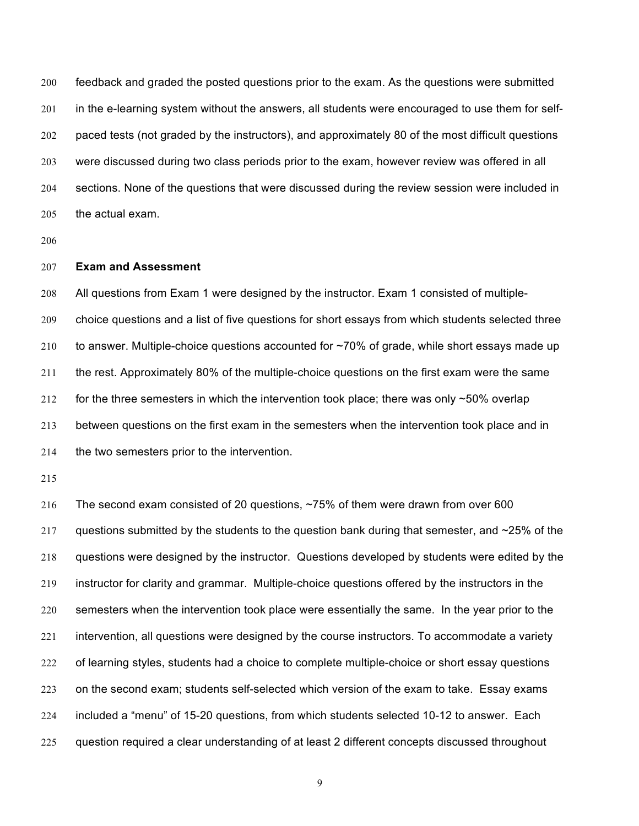feedback and graded the posted questions prior to the exam. As the questions were submitted 201 in the e-learning system without the answers, all students were encouraged to use them for self- paced tests (not graded by the instructors), and approximately 80 of the most difficult questions were discussed during two class periods prior to the exam, however review was offered in all sections. None of the questions that were discussed during the review session were included in the actual exam.

#### **Exam and Assessment**

 All questions from Exam 1 were designed by the instructor. Exam 1 consisted of multiple- choice questions and a list of five questions for short essays from which students selected three 210 to answer. Multiple-choice questions accounted for  $\sim$ 70% of grade, while short essays made up the rest. Approximately 80% of the multiple-choice questions on the first exam were the same 212 for the three semesters in which the intervention took place; there was only  $\sim$  50% overlap between questions on the first exam in the semesters when the intervention took place and in 214 the two semesters prior to the intervention.

 The second exam consisted of 20 questions, ~75% of them were drawn from over 600 217 questions submitted by the students to the question bank during that semester, and  $\sim$ 25% of the questions were designed by the instructor. Questions developed by students were edited by the instructor for clarity and grammar. Multiple-choice questions offered by the instructors in the semesters when the intervention took place were essentially the same. In the year prior to the intervention, all questions were designed by the course instructors. To accommodate a variety of learning styles, students had a choice to complete multiple-choice or short essay questions on the second exam; students self-selected which version of the exam to take. Essay exams included a "menu" of 15-20 questions, from which students selected 10-12 to answer. Each question required a clear understanding of at least 2 different concepts discussed throughout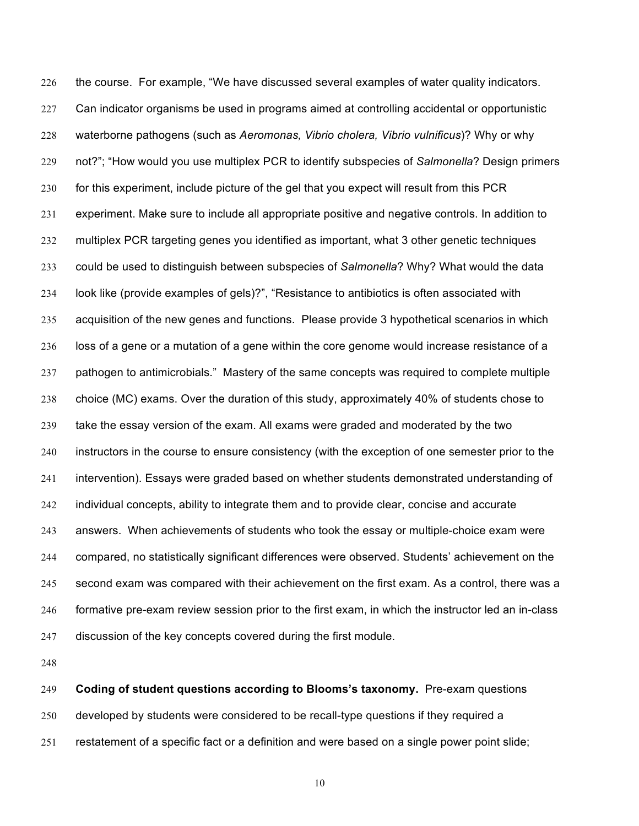the course. For example, "We have discussed several examples of water quality indicators. 227 Can indicator organisms be used in programs aimed at controlling accidental or opportunistic waterborne pathogens (such as *Aeromonas, Vibrio cholera, Vibrio vulnificus*)? Why or why not?"; "How would you use multiplex PCR to identify subspecies of *Salmonella*? Design primers for this experiment, include picture of the gel that you expect will result from this PCR experiment. Make sure to include all appropriate positive and negative controls. In addition to multiplex PCR targeting genes you identified as important, what 3 other genetic techniques could be used to distinguish between subspecies of *Salmonella*? Why? What would the data look like (provide examples of gels)?", "Resistance to antibiotics is often associated with acquisition of the new genes and functions. Please provide 3 hypothetical scenarios in which loss of a gene or a mutation of a gene within the core genome would increase resistance of a 237 pathogen to antimicrobials." Mastery of the same concepts was required to complete multiple choice (MC) exams. Over the duration of this study, approximately 40% of students chose to take the essay version of the exam. All exams were graded and moderated by the two instructors in the course to ensure consistency (with the exception of one semester prior to the intervention). Essays were graded based on whether students demonstrated understanding of individual concepts, ability to integrate them and to provide clear, concise and accurate answers. When achievements of students who took the essay or multiple-choice exam were compared, no statistically significant differences were observed. Students' achievement on the second exam was compared with their achievement on the first exam. As a control, there was a formative pre-exam review session prior to the first exam, in which the instructor led an in-class 247 discussion of the key concepts covered during the first module.

 **Coding of student questions according to Blooms's taxonomy.** Pre-exam questions developed by students were considered to be recall-type questions if they required a restatement of a specific fact or a definition and were based on a single power point slide;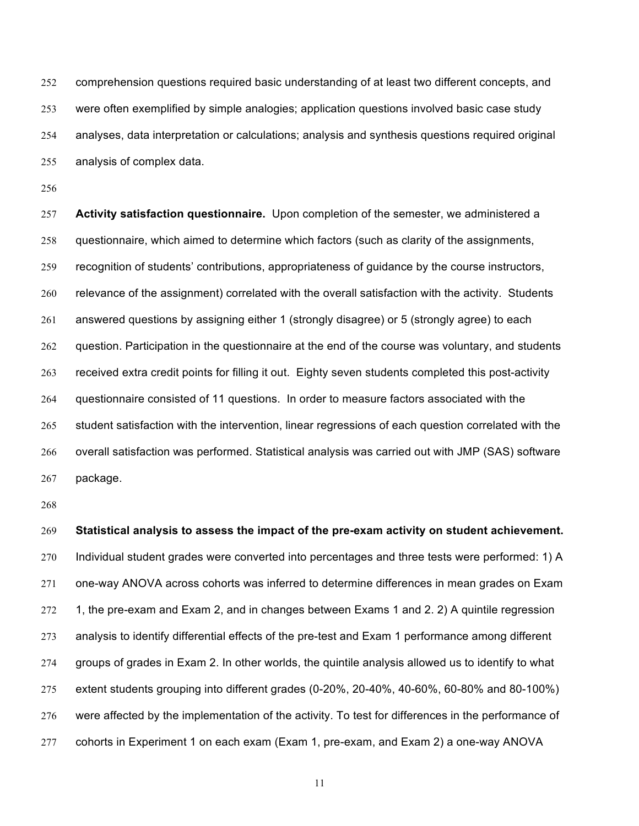comprehension questions required basic understanding of at least two different concepts, and were often exemplified by simple analogies; application questions involved basic case study analyses, data interpretation or calculations; analysis and synthesis questions required original analysis of complex data.

 **Activity satisfaction questionnaire.** Upon completion of the semester, we administered a questionnaire, which aimed to determine which factors (such as clarity of the assignments, recognition of students' contributions, appropriateness of guidance by the course instructors, relevance of the assignment) correlated with the overall satisfaction with the activity. Students answered questions by assigning either 1 (strongly disagree) or 5 (strongly agree) to each question. Participation in the questionnaire at the end of the course was voluntary, and students received extra credit points for filling it out. Eighty seven students completed this post-activity questionnaire consisted of 11 questions. In order to measure factors associated with the 265 student satisfaction with the intervention, linear regressions of each question correlated with the overall satisfaction was performed. Statistical analysis was carried out with JMP (SAS) software package.

 **Statistical analysis to assess the impact of the pre-exam activity on student achievement.** Individual student grades were converted into percentages and three tests were performed: 1) A one-way ANOVA across cohorts was inferred to determine differences in mean grades on Exam 272 1, the pre-exam and Exam 2, and in changes between Exams 1 and 2. 2) A quintile regression analysis to identify differential effects of the pre-test and Exam 1 performance among different groups of grades in Exam 2. In other worlds, the quintile analysis allowed us to identify to what extent students grouping into different grades (0-20%, 20-40%, 40-60%, 60-80% and 80-100%) were affected by the implementation of the activity. To test for differences in the performance of cohorts in Experiment 1 on each exam (Exam 1, pre-exam, and Exam 2) a one-way ANOVA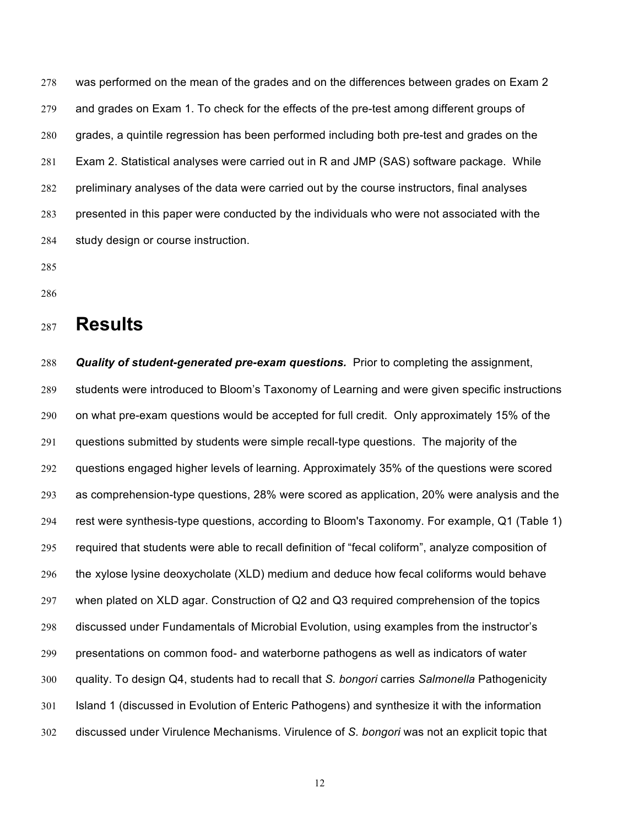was performed on the mean of the grades and on the differences between grades on Exam 2 and grades on Exam 1. To check for the effects of the pre-test among different groups of grades, a quintile regression has been performed including both pre-test and grades on the Exam 2. Statistical analyses were carried out in R and JMP (SAS) software package. While preliminary analyses of the data were carried out by the course instructors, final analyses presented in this paper were conducted by the individuals who were not associated with the study design or course instruction.

- 
- 

### **Results**

 *Quality of student-generated pre-exam questions.* Prior to completing the assignment, students were introduced to Bloom's Taxonomy of Learning and were given specific instructions on what pre-exam questions would be accepted for full credit. Only approximately 15% of the questions submitted by students were simple recall-type questions. The majority of the questions engaged higher levels of learning. Approximately 35% of the questions were scored as comprehension-type questions, 28% were scored as application, 20% were analysis and the rest were synthesis-type questions, according to Bloom's Taxonomy. For example, Q1 (Table 1) required that students were able to recall definition of "fecal coliform", analyze composition of the xylose lysine deoxycholate (XLD) medium and deduce how fecal coliforms would behave when plated on XLD agar. Construction of Q2 and Q3 required comprehension of the topics discussed under Fundamentals of Microbial Evolution, using examples from the instructor's presentations on common food- and waterborne pathogens as well as indicators of water quality. To design Q4, students had to recall that *S. bongori* carries *Salmonella* Pathogenicity Island 1 (discussed in Evolution of Enteric Pathogens) and synthesize it with the information discussed under Virulence Mechanisms. Virulence of *S. bongori* was not an explicit topic that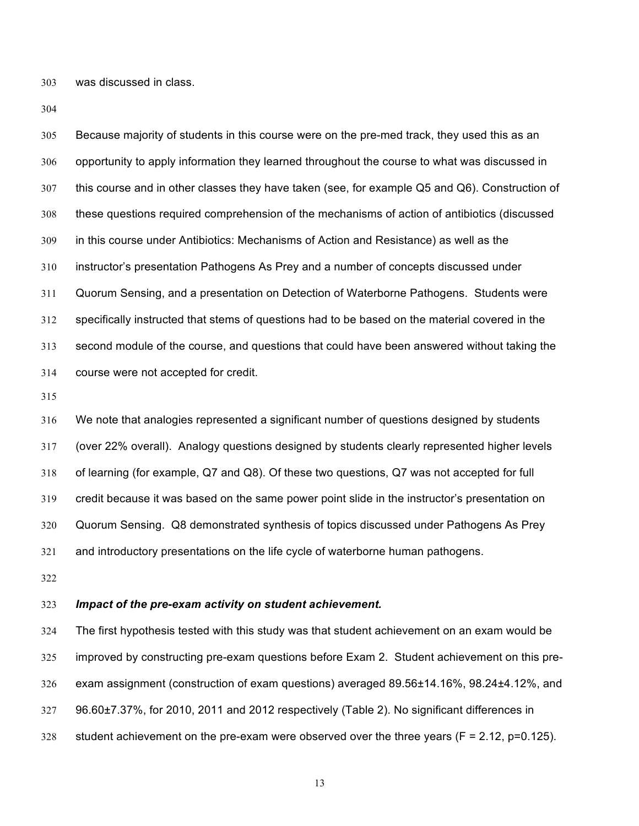was discussed in class.

 Because majority of students in this course were on the pre-med track, they used this as an opportunity to apply information they learned throughout the course to what was discussed in this course and in other classes they have taken (see, for example Q5 and Q6). Construction of these questions required comprehension of the mechanisms of action of antibiotics (discussed in this course under Antibiotics: Mechanisms of Action and Resistance) as well as the instructor's presentation Pathogens As Prey and a number of concepts discussed under Quorum Sensing, and a presentation on Detection of Waterborne Pathogens. Students were specifically instructed that stems of questions had to be based on the material covered in the second module of the course, and questions that could have been answered without taking the course were not accepted for credit.

 We note that analogies represented a significant number of questions designed by students (over 22% overall). Analogy questions designed by students clearly represented higher levels of learning (for example, Q7 and Q8). Of these two questions, Q7 was not accepted for full credit because it was based on the same power point slide in the instructor's presentation on Quorum Sensing. Q8 demonstrated synthesis of topics discussed under Pathogens As Prey and introductory presentations on the life cycle of waterborne human pathogens.

#### *Impact of the pre-exam activity on student achievement.*

 The first hypothesis tested with this study was that student achievement on an exam would be improved by constructing pre-exam questions before Exam 2. Student achievement on this pre- exam assignment (construction of exam questions) averaged 89.56±14.16%, 98.24±4.12%, and 96.60±7.37%, for 2010, 2011 and 2012 respectively (Table 2). No significant differences in 328 student achievement on the pre-exam were observed over the three years  $(F = 2.12, p=0.125)$ .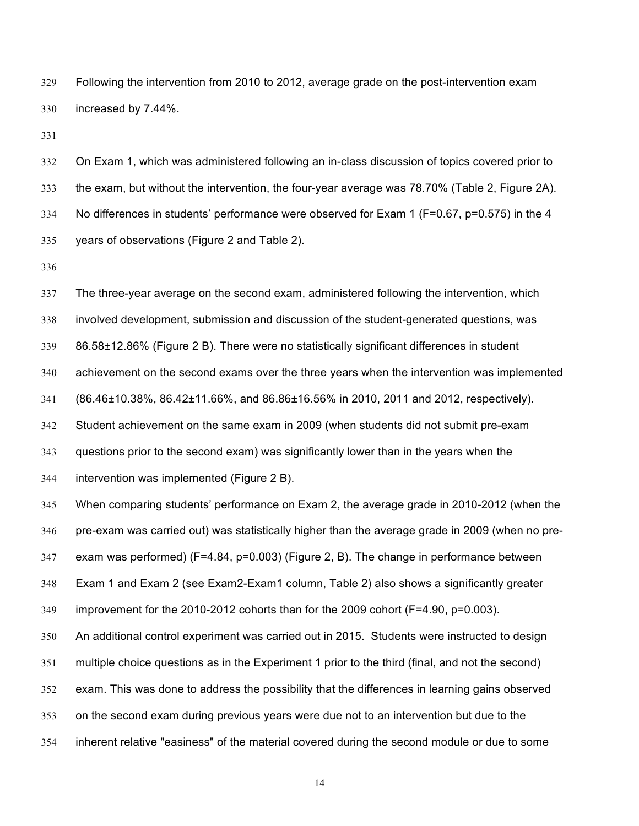Following the intervention from 2010 to 2012, average grade on the post-intervention exam increased by 7.44%.

 On Exam 1, which was administered following an in-class discussion of topics covered prior to the exam, but without the intervention, the four-year average was 78.70% (Table 2, Figure 2A). 334 No differences in students' performance were observed for Exam 1 (F=0.67, p=0.575) in the 4 years of observations (Figure 2 and Table 2).

 The three-year average on the second exam, administered following the intervention, which involved development, submission and discussion of the student-generated questions, was 86.58±12.86% (Figure 2 B). There were no statistically significant differences in student achievement on the second exams over the three years when the intervention was implemented (86.46±10.38%, 86.42±11.66%, and 86.86±16.56% in 2010, 2011 and 2012, respectively). Student achievement on the same exam in 2009 (when students did not submit pre-exam questions prior to the second exam) was significantly lower than in the years when the intervention was implemented (Figure 2 B). When comparing students' performance on Exam 2, the average grade in 2010-2012 (when the pre-exam was carried out) was statistically higher than the average grade in 2009 (when no pre- exam was performed) (F=4.84, p=0.003) (Figure 2, B). The change in performance between Exam 1 and Exam 2 (see Exam2-Exam1 column, Table 2) also shows a significantly greater improvement for the 2010-2012 cohorts than for the 2009 cohort (F=4.90, p=0.003). An additional control experiment was carried out in 2015. Students were instructed to design multiple choice questions as in the Experiment 1 prior to the third (final, and not the second) exam. This was done to address the possibility that the differences in learning gains observed on the second exam during previous years were due not to an intervention but due to the inherent relative "easiness" of the material covered during the second module or due to some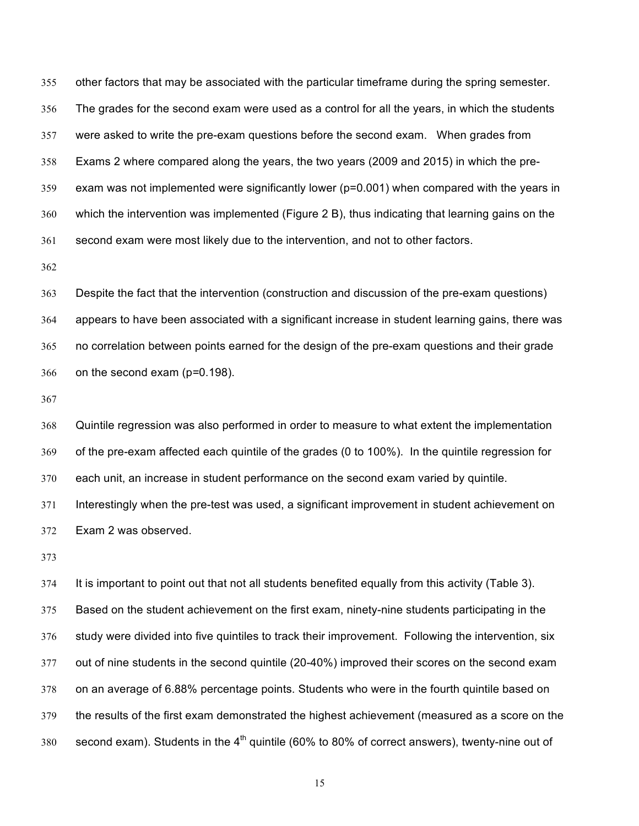other factors that may be associated with the particular timeframe during the spring semester. The grades for the second exam were used as a control for all the years, in which the students were asked to write the pre-exam questions before the second exam. When grades from Exams 2 where compared along the years, the two years (2009 and 2015) in which the pre- exam was not implemented were significantly lower (p=0.001) when compared with the years in which the intervention was implemented (Figure 2 B), thus indicating that learning gains on the second exam were most likely due to the intervention, and not to other factors.

 Despite the fact that the intervention (construction and discussion of the pre-exam questions) appears to have been associated with a significant increase in student learning gains, there was no correlation between points earned for the design of the pre-exam questions and their grade on the second exam (p*=*0.198).

 Quintile regression was also performed in order to measure to what extent the implementation of the pre-exam affected each quintile of the grades (0 to 100%). In the quintile regression for each unit, an increase in student performance on the second exam varied by quintile. Interestingly when the pre-test was used, a significant improvement in student achievement on

Exam 2 was observed.

 It is important to point out that not all students benefited equally from this activity (Table 3). 375 Based on the student achievement on the first exam, ninety-nine students participating in the study were divided into five quintiles to track their improvement. Following the intervention, six out of nine students in the second quintile (20-40%) improved their scores on the second exam on an average of 6.88% percentage points. Students who were in the fourth quintile based on the results of the first exam demonstrated the highest achievement (measured as a score on the 380 second exam). Students in the  $4<sup>th</sup>$  quintile (60% to 80% of correct answers), twenty-nine out of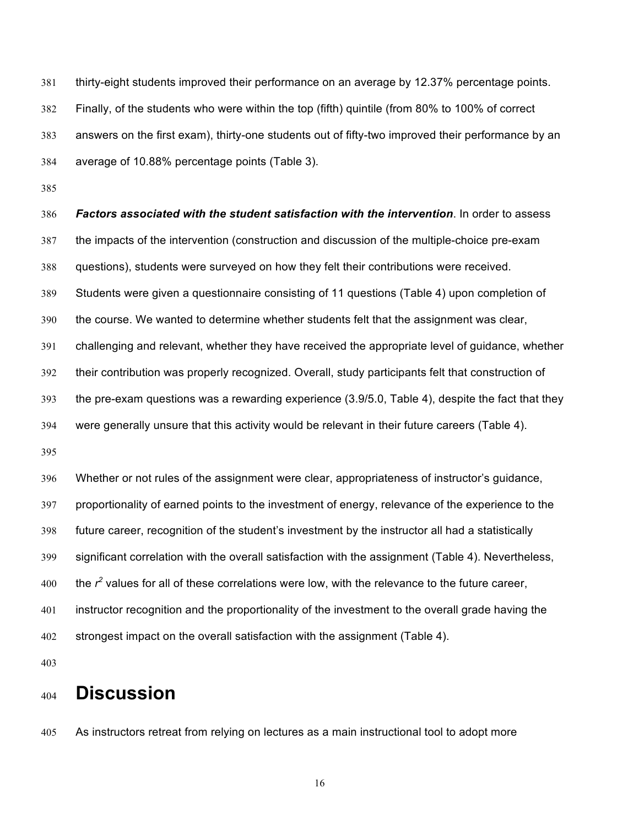thirty-eight students improved their performance on an average by 12.37% percentage points. Finally, of the students who were within the top (fifth) quintile (from 80% to 100% of correct answers on the first exam), thirty-one students out of fifty-two improved their performance by an average of 10.88% percentage points (Table 3).

 *Factors associated with the student satisfaction with the intervention*. In order to assess the impacts of the intervention (construction and discussion of the multiple-choice pre-exam questions), students were surveyed on how they felt their contributions were received. Students were given a questionnaire consisting of 11 questions (Table 4) upon completion of the course. We wanted to determine whether students felt that the assignment was clear, challenging and relevant, whether they have received the appropriate level of guidance, whether their contribution was properly recognized. Overall, study participants felt that construction of the pre-exam questions was a rewarding experience (3.9/5.0, Table 4), despite the fact that they were generally unsure that this activity would be relevant in their future careers (Table 4). Whether or not rules of the assignment were clear, appropriateness of instructor's guidance, 397 proportionality of earned points to the investment of energy, relevance of the experience to the future career, recognition of the student's investment by the instructor all had a statistically significant correlation with the overall satisfaction with the assignment (Table 4). Nevertheless, 400 the  $r^2$  values for all of these correlations were low, with the relevance to the future career, instructor recognition and the proportionality of the investment to the overall grade having the strongest impact on the overall satisfaction with the assignment (Table 4). 

## **Discussion**

As instructors retreat from relying on lectures as a main instructional tool to adopt more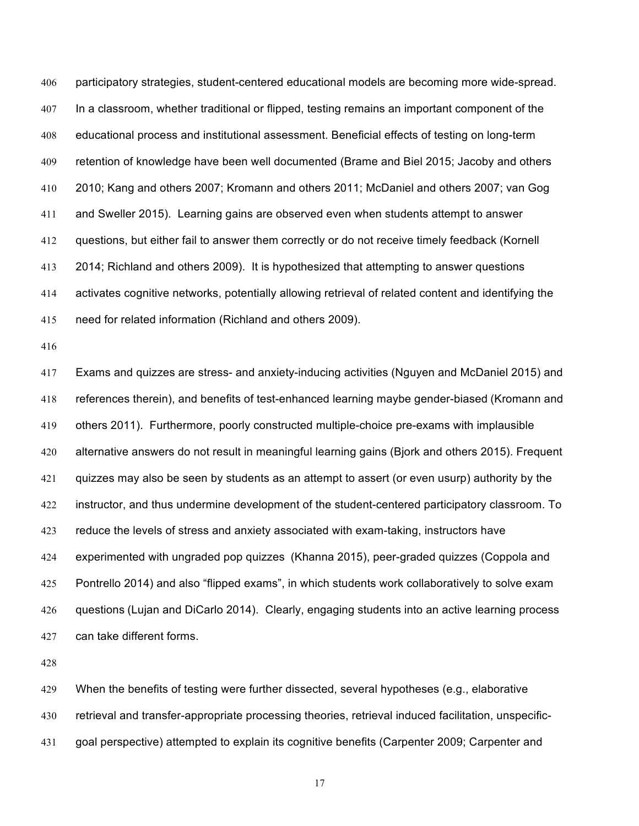participatory strategies, student-centered educational models are becoming more wide-spread. In a classroom, whether traditional or flipped, testing remains an important component of the educational process and institutional assessment. Beneficial effects of testing on long-term retention of knowledge have been well documented (Brame and Biel 2015; Jacoby and others 2010; Kang and others 2007; Kromann and others 2011; McDaniel and others 2007; van Gog and Sweller 2015). Learning gains are observed even when students attempt to answer questions, but either fail to answer them correctly or do not receive timely feedback (Kornell 2014; Richland and others 2009). It is hypothesized that attempting to answer questions activates cognitive networks, potentially allowing retrieval of related content and identifying the need for related information (Richland and others 2009).

 Exams and quizzes are stress- and anxiety-inducing activities (Nguyen and McDaniel 2015) and references therein), and benefits of test-enhanced learning maybe gender-biased (Kromann and others 2011). Furthermore, poorly constructed multiple-choice pre-exams with implausible alternative answers do not result in meaningful learning gains (Bjork and others 2015). Frequent quizzes may also be seen by students as an attempt to assert (or even usurp) authority by the instructor, and thus undermine development of the student-centered participatory classroom. To reduce the levels of stress and anxiety associated with exam-taking, instructors have experimented with ungraded pop quizzes (Khanna 2015), peer-graded quizzes (Coppola and Pontrello 2014) and also "flipped exams", in which students work collaboratively to solve exam questions (Lujan and DiCarlo 2014). Clearly, engaging students into an active learning process can take different forms.

 When the benefits of testing were further dissected, several hypotheses (e.g., elaborative retrieval and transfer-appropriate processing theories, retrieval induced facilitation, unspecific-goal perspective) attempted to explain its cognitive benefits (Carpenter 2009; Carpenter and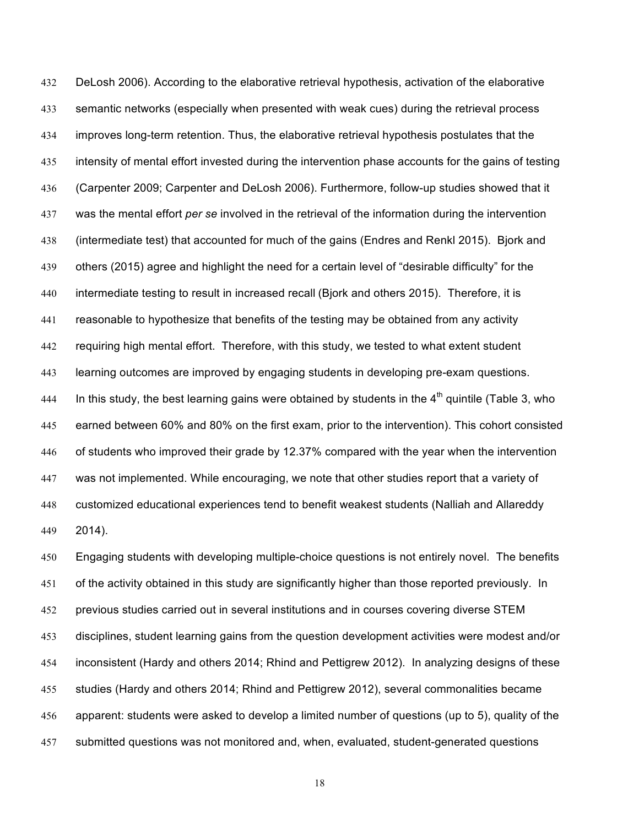DeLosh 2006). According to the elaborative retrieval hypothesis, activation of the elaborative semantic networks (especially when presented with weak cues) during the retrieval process improves long-term retention. Thus, the elaborative retrieval hypothesis postulates that the intensity of mental effort invested during the intervention phase accounts for the gains of testing (Carpenter 2009; Carpenter and DeLosh 2006). Furthermore, follow-up studies showed that it was the mental effort *per se* involved in the retrieval of the information during the intervention (intermediate test) that accounted for much of the gains (Endres and Renkl 2015). Bjork and others (2015) agree and highlight the need for a certain level of "desirable difficulty" for the intermediate testing to result in increased recall (Bjork and others 2015). Therefore, it is reasonable to hypothesize that benefits of the testing may be obtained from any activity requiring high mental effort. Therefore, with this study, we tested to what extent student learning outcomes are improved by engaging students in developing pre-exam questions. 444 In this study, the best learning gains were obtained by students in the 4<sup>th</sup> quintile (Table 3, who earned between 60% and 80% on the first exam, prior to the intervention). This cohort consisted of students who improved their grade by 12.37% compared with the year when the intervention was not implemented. While encouraging, we note that other studies report that a variety of customized educational experiences tend to benefit weakest students (Nalliah and Allareddy 2014).

 Engaging students with developing multiple-choice questions is not entirely novel. The benefits of the activity obtained in this study are significantly higher than those reported previously. In previous studies carried out in several institutions and in courses covering diverse STEM disciplines, student learning gains from the question development activities were modest and/or inconsistent (Hardy and others 2014; Rhind and Pettigrew 2012). In analyzing designs of these studies (Hardy and others 2014; Rhind and Pettigrew 2012), several commonalities became apparent: students were asked to develop a limited number of questions (up to 5), quality of the submitted questions was not monitored and, when, evaluated, student-generated questions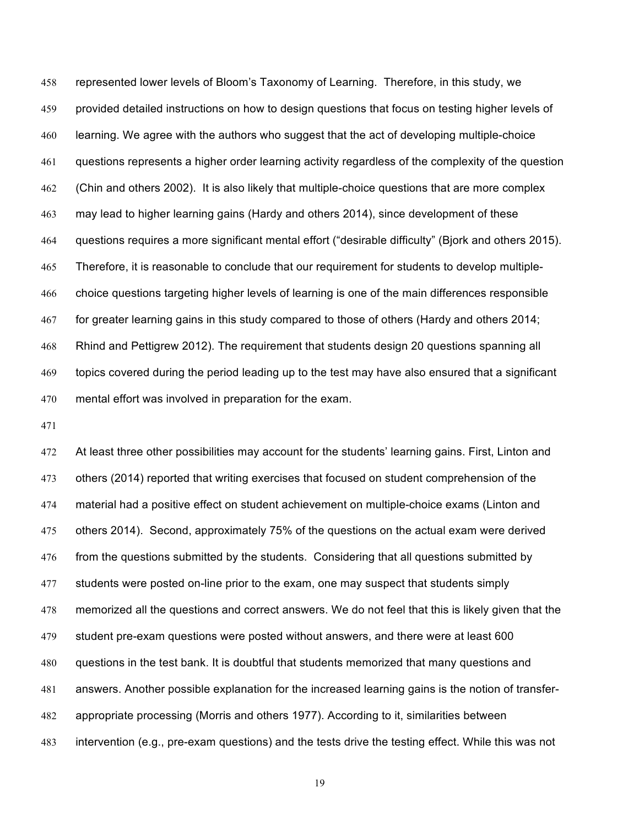represented lower levels of Bloom's Taxonomy of Learning. Therefore, in this study, we provided detailed instructions on how to design questions that focus on testing higher levels of learning. We agree with the authors who suggest that the act of developing multiple-choice questions represents a higher order learning activity regardless of the complexity of the question (Chin and others 2002). It is also likely that multiple-choice questions that are more complex may lead to higher learning gains (Hardy and others 2014), since development of these questions requires a more significant mental effort ("desirable difficulty" (Bjork and others 2015). Therefore, it is reasonable to conclude that our requirement for students to develop multiple- choice questions targeting higher levels of learning is one of the main differences responsible for greater learning gains in this study compared to those of others (Hardy and others 2014; Rhind and Pettigrew 2012). The requirement that students design 20 questions spanning all topics covered during the period leading up to the test may have also ensured that a significant mental effort was involved in preparation for the exam.

 At least three other possibilities may account for the students' learning gains. First, Linton and others (2014) reported that writing exercises that focused on student comprehension of the material had a positive effect on student achievement on multiple-choice exams (Linton and others 2014). Second, approximately 75% of the questions on the actual exam were derived 476 from the questions submitted by the students. Considering that all questions submitted by students were posted on-line prior to the exam, one may suspect that students simply memorized all the questions and correct answers. We do not feel that this is likely given that the student pre-exam questions were posted without answers, and there were at least 600 questions in the test bank. It is doubtful that students memorized that many questions and answers. Another possible explanation for the increased learning gains is the notion of transfer- appropriate processing (Morris and others 1977). According to it, similarities between intervention (e.g., pre-exam questions) and the tests drive the testing effect. While this was not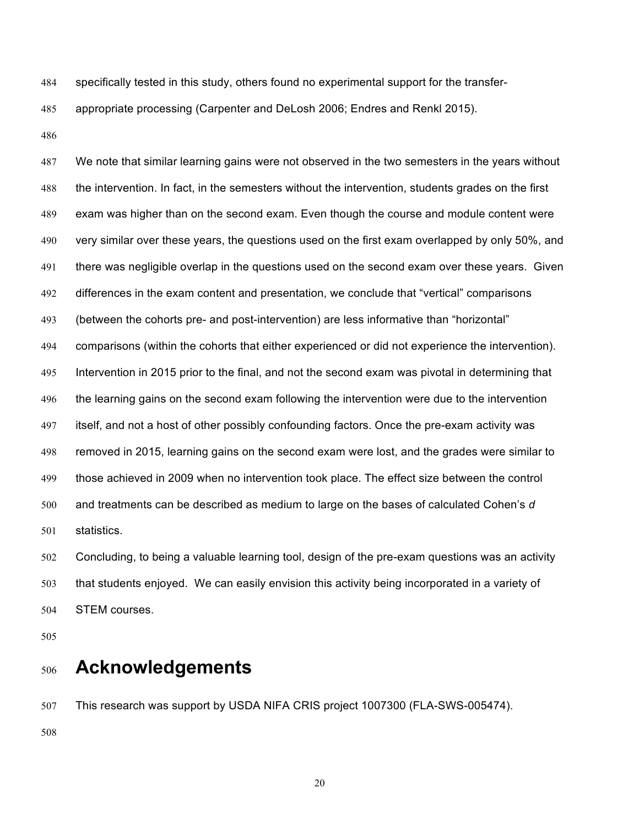specifically tested in this study, others found no experimental support for the transfer-

appropriate processing (Carpenter and DeLosh 2006; Endres and Renkl 2015).

 We note that similar learning gains were not observed in the two semesters in the years without the intervention. In fact, in the semesters without the intervention, students grades on the first exam was higher than on the second exam. Even though the course and module content were very similar over these years, the questions used on the first exam overlapped by only 50%, and there was negligible overlap in the questions used on the second exam over these years. Given differences in the exam content and presentation, we conclude that "vertical" comparisons (between the cohorts pre- and post-intervention) are less informative than "horizontal" comparisons (within the cohorts that either experienced or did not experience the intervention). Intervention in 2015 prior to the final, and not the second exam was pivotal in determining that the learning gains on the second exam following the intervention were due to the intervention itself, and not a host of other possibly confounding factors. Once the pre-exam activity was removed in 2015, learning gains on the second exam were lost, and the grades were similar to those achieved in 2009 when no intervention took place. The effect size between the control and treatments can be described as medium to large on the bases of calculated Cohen's *d* statistics.

 Concluding, to being a valuable learning tool, design of the pre-exam questions was an activity that students enjoyed. We can easily envision this activity being incorporated in a variety of STEM courses.

### **Acknowledgements**

This research was support by USDA NIFA CRIS project 1007300 (FLA-SWS-005474).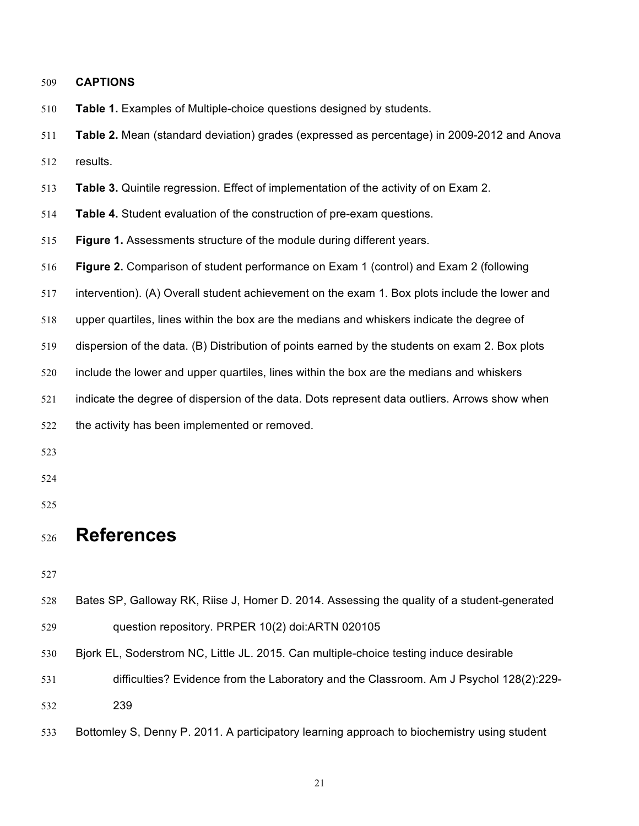- **Table 1.** Examples of Multiple-choice questions designed by students.
- **Table 2.** Mean (standard deviation) grades (expressed as percentage) in 2009-2012 and Anova results.
- **Table 3.** Quintile regression. Effect of implementation of the activity of on Exam 2.
- **Table 4.** Student evaluation of the construction of pre-exam questions.
- **Figure 1.** Assessments structure of the module during different years.
- **Figure 2.** Comparison of student performance on Exam 1 (control) and Exam 2 (following
- intervention). (A) Overall student achievement on the exam 1. Box plots include the lower and
- upper quartiles, lines within the box are the medians and whiskers indicate the degree of
- dispersion of the data. (B) Distribution of points earned by the students on exam 2. Box plots
- include the lower and upper quartiles, lines within the box are the medians and whiskers
- indicate the degree of dispersion of the data. Dots represent data outliers. Arrows show when
- the activity has been implemented or removed.
- 
- 
- 

### **References**

- 
- Bates SP, Galloway RK, Riise J, Homer D. 2014. Assessing the quality of a student-generated question repository. PRPER 10(2) doi:ARTN 020105
- Bjork EL, Soderstrom NC, Little JL. 2015. Can multiple-choice testing induce desirable
- difficulties? Evidence from the Laboratory and the Classroom. Am J Psychol 128(2):229-
- 239
- Bottomley S, Denny P. 2011. A participatory learning approach to biochemistry using student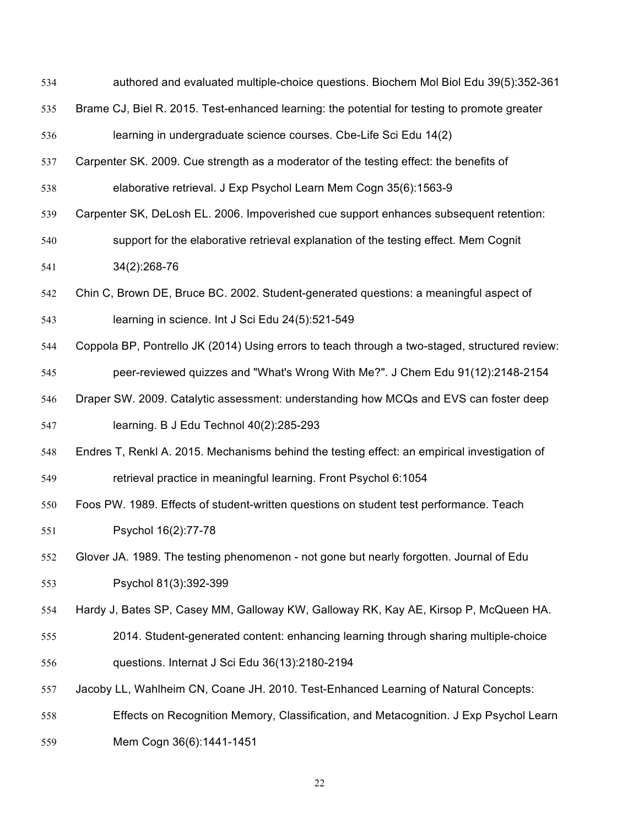| 534 | authored and evaluated multiple-choice questions. Biochem Mol Biol Edu 39(5):352-361           |
|-----|------------------------------------------------------------------------------------------------|
| 535 | Brame CJ, Biel R. 2015. Test-enhanced learning: the potential for testing to promote greater   |
| 536 | learning in undergraduate science courses. Cbe-Life Sci Edu 14(2)                              |
| 537 | Carpenter SK. 2009. Cue strength as a moderator of the testing effect: the benefits of         |
| 538 | elaborative retrieval. J Exp Psychol Learn Mem Cogn 35(6):1563-9                               |
| 539 | Carpenter SK, DeLosh EL. 2006. Impoverished cue support enhances subsequent retention:         |
| 540 | support for the elaborative retrieval explanation of the testing effect. Mem Cognit            |
| 541 | 34(2):268-76                                                                                   |
| 542 | Chin C, Brown DE, Bruce BC. 2002. Student-generated questions: a meaningful aspect of          |
| 543 | learning in science. Int J Sci Edu 24(5):521-549                                               |
| 544 | Coppola BP, Pontrello JK (2014) Using errors to teach through a two-staged, structured review: |
| 545 | peer-reviewed quizzes and "What's Wrong With Me?". J Chem Edu 91(12):2148-2154                 |
| 546 | Draper SW. 2009. Catalytic assessment: understanding how MCQs and EVS can foster deep          |
| 547 | learning. B J Edu Technol 40(2):285-293                                                        |
| 548 | Endres T, Renkl A. 2015. Mechanisms behind the testing effect: an empirical investigation of   |
| 549 | retrieval practice in meaningful learning. Front Psychol 6:1054                                |
| 550 | Foos PW. 1989. Effects of student-written questions on student test performance. Teach         |
| 551 | Psychol 16(2):77-78                                                                            |
| 552 | Glover JA. 1989. The testing phenomenon - not gone but nearly forgotten. Journal of Edu        |
| 553 | Psychol 81(3):392-399                                                                          |
| 554 | Hardy J, Bates SP, Casey MM, Galloway KW, Galloway RK, Kay AE, Kirsop P, McQueen HA.           |
| 555 | 2014. Student-generated content: enhancing learning through sharing multiple-choice            |
| 556 | questions. Internat J Sci Edu 36(13):2180-2194                                                 |
| 557 | Jacoby LL, Wahlheim CN, Coane JH. 2010. Test-Enhanced Learning of Natural Concepts:            |
| 558 | Effects on Recognition Memory, Classification, and Metacognition. J Exp Psychol Learn          |
| 559 | Mem Cogn 36(6):1441-1451                                                                       |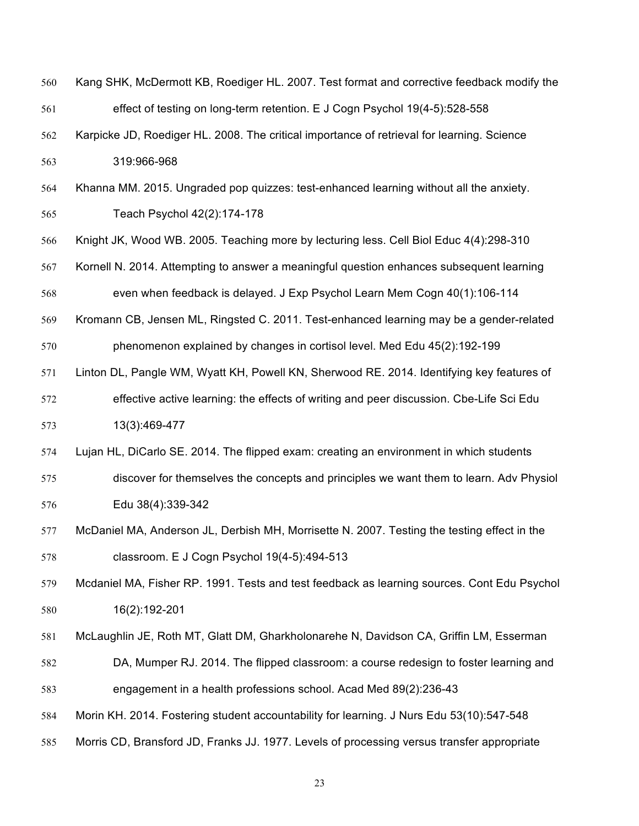| 560 | Kang SHK, McDermott KB, Roediger HL. 2007. Test format and corrective feedback modify the   |
|-----|---------------------------------------------------------------------------------------------|
| 561 | effect of testing on long-term retention. E J Cogn Psychol 19(4-5):528-558                  |
| 562 | Karpicke JD, Roediger HL. 2008. The critical importance of retrieval for learning. Science  |
| 563 | 319:966-968                                                                                 |
| 564 | Khanna MM. 2015. Ungraded pop quizzes: test-enhanced learning without all the anxiety.      |
| 565 | Teach Psychol 42(2):174-178                                                                 |
| 566 | Knight JK, Wood WB. 2005. Teaching more by lecturing less. Cell Biol Educ 4(4):298-310      |
| 567 | Kornell N. 2014. Attempting to answer a meaningful question enhances subsequent learning    |
| 568 | even when feedback is delayed. J Exp Psychol Learn Mem Cogn 40(1):106-114                   |
| 569 | Kromann CB, Jensen ML, Ringsted C. 2011. Test-enhanced learning may be a gender-related     |
| 570 | phenomenon explained by changes in cortisol level. Med Edu 45(2):192-199                    |
| 571 | Linton DL, Pangle WM, Wyatt KH, Powell KN, Sherwood RE. 2014. Identifying key features of   |
| 572 | effective active learning: the effects of writing and peer discussion. Cbe-Life Sci Edu     |
| 573 | 13(3):469-477                                                                               |
| 574 | Lujan HL, DiCarlo SE. 2014. The flipped exam: creating an environment in which students     |
| 575 | discover for themselves the concepts and principles we want them to learn. Adv Physiol      |
| 576 | Edu 38(4):339-342                                                                           |
| 577 | McDaniel MA, Anderson JL, Derbish MH, Morrisette N. 2007. Testing the testing effect in the |
| 578 | classroom. E J Cogn Psychol 19(4-5):494-513                                                 |
| 579 | Mcdaniel MA, Fisher RP. 1991. Tests and test feedback as learning sources. Cont Edu Psychol |
| 580 | 16(2):192-201                                                                               |
| 581 | McLaughlin JE, Roth MT, Glatt DM, Gharkholonarehe N, Davidson CA, Griffin LM, Esserman      |
| 582 | DA, Mumper RJ. 2014. The flipped classroom: a course redesign to foster learning and        |
| 583 | engagement in a health professions school. Acad Med 89(2):236-43                            |
| 584 | Morin KH. 2014. Fostering student accountability for learning. J Nurs Edu 53(10):547-548    |
| 585 | Morris CD, Bransford JD, Franks JJ. 1977. Levels of processing versus transfer appropriate  |